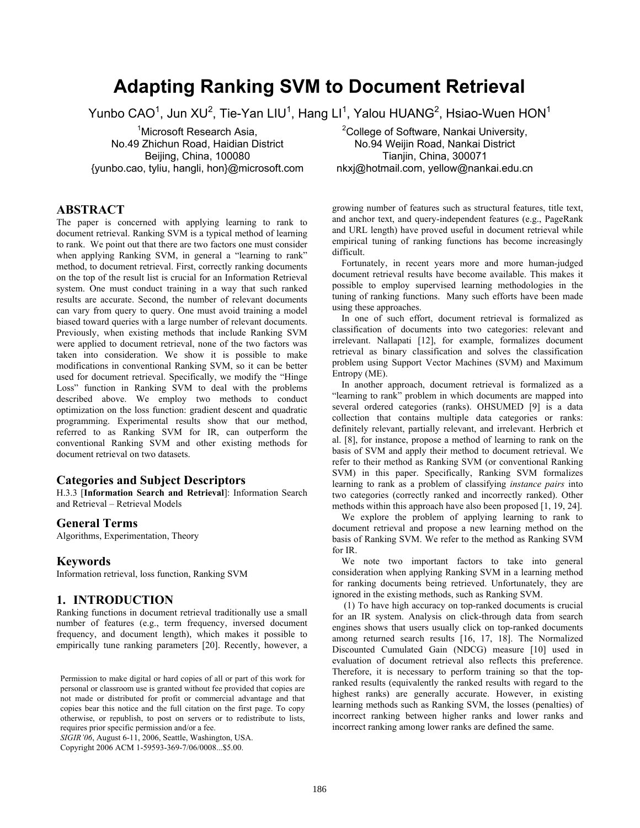# **Adapting Ranking SVM to Document Retrieval**

Yunbo CAO<sup>1</sup>, Jun XU<sup>2</sup>, Tie-Yan LIU<sup>1</sup>, Hang LI<sup>1</sup>, Yalou HUANG<sup>2</sup>, Hsiao-Wuen HON<sup>1</sup>

<sup>1</sup>Microsoft Research Asia, No.49 Zhichun Road, Haidian District Beijing, China, 100080 {yunbo.cao, tyliu, hangli, hon}@microsoft.com

**ABSTRACT** 

The paper is concerned with applying learning to rank to document retrieval. Ranking SVM is a typical method of learning to rank. We point out that there are two factors one must consider when applying Ranking SVM, in general a "learning to rank" method, to document retrieval. First, correctly ranking documents on the top of the result list is crucial for an Information Retrieval system. One must conduct training in a way that such ranked results are accurate. Second, the number of relevant documents can vary from query to query. One must avoid training a model biased toward queries with a large number of relevant documents. Previously, when existing methods that include Ranking SVM were applied to document retrieval, none of the two factors was taken into consideration. We show it is possible to make modifications in conventional Ranking SVM, so it can be better used for document retrieval. Specifically, we modify the "Hinge Loss" function in Ranking SVM to deal with the problems described above. We employ two methods to conduct optimization on the loss function: gradient descent and quadratic programming. Experimental results show that our method, referred to as Ranking SVM for IR, can outperform the conventional Ranking SVM and other existing methods for document retrieval on two datasets.

## **Categories and Subject Descriptors**

H.3.3 [**Information Search and Retrieval**]: Information Search and Retrieval – Retrieval Models

## **General Terms**

Algorithms, Experimentation, Theory

## **Keywords**

Information retrieval, loss function, Ranking SVM

## **1. INTRODUCTION**

Ranking functions in document retrieval traditionally use a small number of features (e.g., term frequency, inversed document frequency, and document length), which makes it possible to empirically tune ranking parameters [20]. Recently, however, a

*SIGIR'06*, August 6-11, 2006, Seattle, Washington, USA.

Copyright 2006 ACM 1-59593-369-7/06/0008...\$5.00.

<sup>2</sup>College of Software, Nankai University, No.94 Weijin Road, Nankai District Tianjin, China, 300071 nkxj@hotmail.com, yellow@nankai.edu.cn

growing number of features such as structural features, title text, and anchor text, and query-independent features (e.g., PageRank and URL length) have proved useful in document retrieval while empirical tuning of ranking functions has become increasingly difficult.

Fortunately, in recent years more and more human-judged document retrieval results have become available. This makes it possible to employ supervised learning methodologies in the tuning of ranking functions. Many such efforts have been made using these approaches.

In one of such effort, document retrieval is formalized as classification of documents into two categories: relevant and irrelevant. Nallapati [12], for example, formalizes document retrieval as binary classification and solves the classification problem using Support Vector Machines (SVM) and Maximum Entropy (ME).

In another approach, document retrieval is formalized as a "learning to rank" problem in which documents are mapped into several ordered categories (ranks). OHSUMED [9] is a data collection that contains multiple data categories or ranks: definitely relevant, partially relevant, and irrelevant. Herbrich et al. [8], for instance, propose a method of learning to rank on the basis of SVM and apply their method to document retrieval. We refer to their method as Ranking SVM (or conventional Ranking SVM) in this paper. Specifically, Ranking SVM formalizes learning to rank as a problem of classifying *instance pairs* into two categories (correctly ranked and incorrectly ranked). Other methods within this approach have also been proposed [1, 19, 24].

We explore the problem of applying learning to rank to document retrieval and propose a new learning method on the basis of Ranking SVM. We refer to the method as Ranking SVM for IR.

We note two important factors to take into general consideration when applying Ranking SVM in a learning method for ranking documents being retrieved. Unfortunately, they are ignored in the existing methods, such as Ranking SVM.

 (1) To have high accuracy on top-ranked documents is crucial for an IR system. Analysis on click-through data from search engines shows that users usually click on top-ranked documents among returned search results [16, 17, 18]. The Normalized Discounted Cumulated Gain (NDCG) measure [10] used in evaluation of document retrieval also reflects this preference. Therefore, it is necessary to perform training so that the topranked results (equivalently the ranked results with regard to the highest ranks) are generally accurate. However, in existing learning methods such as Ranking SVM, the losses (penalties) of incorrect ranking between higher ranks and lower ranks and incorrect ranking among lower ranks are defined the same.

Permission to make digital or hard copies of all or part of this work for personal or classroom use is granted without fee provided that copies are not made or distributed for profit or commercial advantage and that copies bear this notice and the full citation on the first page. To copy otherwise, or republish, to post on servers or to redistribute to lists, requires prior specific permission and/or a fee.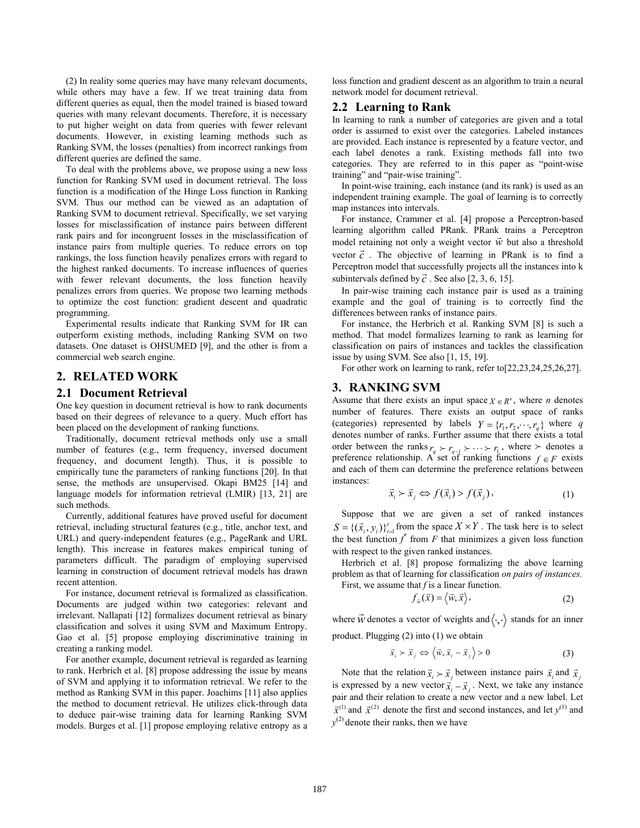(2) In reality some queries may have many relevant documents, while others may have a few. If we treat training data from different queries as equal, then the model trained is biased toward queries with many relevant documents. Therefore, it is necessary to put higher weight on data from queries with fewer relevant documents. However, in existing learning methods such as Ranking SVM, the losses (penalties) from incorrect rankings from different queries are defined the same.

To deal with the problems above, we propose using a new loss function for Ranking SVM used in document retrieval. The loss function is a modification of the Hinge Loss function in Ranking SVM. Thus our method can be viewed as an adaptation of Ranking SVM to document retrieval. Specifically, we set varying losses for misclassification of instance pairs between different rank pairs and for incongruent losses in the misclassification of instance pairs from multiple queries. To reduce errors on top rankings, the loss function heavily penalizes errors with regard to the highest ranked documents. To increase influences of queries with fewer relevant documents, the loss function heavily penalizes errors from queries. We propose two learning methods to optimize the cost function: gradient descent and quadratic programming.

Experimental results indicate that Ranking SVM for IR can outperform existing methods, including Ranking SVM on two datasets. One dataset is OHSUMED [9], and the other is from a commercial web search engine.

# **2. RELATED WORK**

#### **2.1 Document Retrieval**

One key question in document retrieval is how to rank documents based on their degrees of relevance to a query. Much effort has been placed on the development of ranking functions.

Traditionally, document retrieval methods only use a small number of features (e.g., term frequency, inversed document frequency, and document length). Thus, it is possible to empirically tune the parameters of ranking functions [20]. In that sense, the methods are unsupervised. Okapi BM25 [14] and language models for information retrieval (LMIR) [13, 21] are such methods.

Currently, additional features have proved useful for document retrieval, including structural features (e.g., title, anchor text, and URL) and query-independent features (e.g., PageRank and URL length). This increase in features makes empirical tuning of parameters difficult. The paradigm of employing supervised learning in construction of document retrieval models has drawn recent attention.

For instance, document retrieval is formalized as classification. Documents are judged within two categories: relevant and irrelevant. Nallapati [12] formalizes document retrieval as binary classification and solves it using SVM and Maximum Entropy. Gao et al. [5] propose employing discriminative training in creating a ranking model.

For another example, document retrieval is regarded as learning to rank. Herbrich et al. [8] propose addressing the issue by means of SVM and applying it to information retrieval. We refer to the method as Ranking SVM in this paper. Joachims [11] also applies the method to document retrieval. He utilizes click-through data to deduce pair-wise training data for learning Ranking SVM models. Burges et al. [1] propose employing relative entropy as a loss function and gradient descent as an algorithm to train a neural network model for document retrieval.

# **2.2 Learning to Rank**

In learning to rank a number of categories are given and a total order is assumed to exist over the categories. Labeled instances are provided. Each instance is represented by a feature vector, and each label denotes a rank. Existing methods fall into two categories. They are referred to in this paper as "point-wise training" and "pair-wise training".

In point-wise training, each instance (and its rank) is used as an independent training example. The goal of learning is to correctly map instances into intervals.

For instance, Crammer et al. [4] propose a Perceptron-based learning algorithm called PRank. PRank trains a Perceptron model retaining not only a weight vector  $\vec{w}$  but also a threshold vector  $\vec{c}$ . The objective of learning in PRank is to find a Perceptron model that successfully projects all the instances into k subintervals defined by  $\vec{c}$ . See also [2, 3, 6, 15].

In pair-wise training each instance pair is used as a training example and the goal of training is to correctly find the differences between ranks of instance pairs.

For instance, the Herbrich et al. Ranking SVM [8] is such a method. That model formalizes learning to rank as learning for classification on pairs of instances and tackles the classification issue by using SVM. See also [1, 15, 19].

For other work on learning to rank, refer to [22,23,24,25,26,27].

# **3. RANKING SVM**

Assume that there exists an input space  $X \in \mathbb{R}^n$ , where *n* denotes number of features. There exists an output space of ranks (categories) represented by labels  $Y = \{r_1, r_2, \dots, r_q\}$  where *q* denotes number of ranks. Further assume that there exists a total order between the ranks  $r_q \succ r_{q-1} \succ \cdots \succ r_1$ , where  $\succ$  denotes a preference relationship. A set of ranking functions  $f \in F$  exists and each of them can determine the preference relations between instances:

$$
\vec{x}_i \succ \vec{x}_j \Leftrightarrow f(\vec{x}_i) > f(\vec{x}_j),\tag{1}
$$

Suppose that we are given a set of ranked instances  $S = \{(\vec{x}_i, y_i)\}_{i=1}^t$  from the space  $X \times Y$ . The task here is to select the best function  $f^*$  from  $F$  that minimizes a given loss function with respect to the given ranked instances.

Herbrich et al. [8] propose formalizing the above learning problem as that of learning for classification *on pairs of instances.*  First, we assume that *f* is a linear function.

$$
f_{\vec{w}}(\vec{x}) = \langle \vec{w}, \vec{x} \rangle,
$$
 (2)

where  $\vec{w}$  denotes a vector of weights and  $\langle \cdot, \cdot \rangle$  stands for an inner product. Plugging (2) into (1) we obtain

$$
\vec{x}_i \succ \vec{x}_j \Leftrightarrow \langle \vec{w}, \vec{x}_i - \vec{x}_j \rangle > 0 \tag{3}
$$

Note that the relation  $\vec{x}_i \succ \vec{x}_j$  between instance pairs  $\vec{x}_i$  and  $\vec{x}_j$ is expressed by a new vector  $\vec{x}_i - \vec{x}_i$ . Next, we take any instance pair and their relation to create a new vector and a new label. Let  $\vec{x}^{(1)}$  and  $\vec{x}^{(2)}$  denote the first and second instances, and let  $y^{(1)}$  and  $y^{(2)}$  denote their ranks, then we have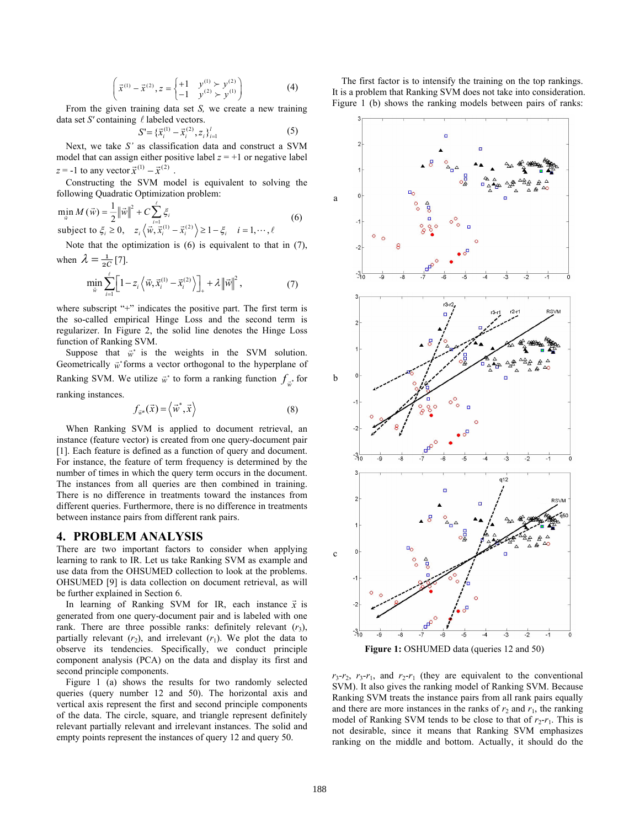$$
\begin{pmatrix} \vec{x}^{(1)} - \vec{x}^{(2)}, z = \begin{cases} +1 & y^{(1)} > y^{(2)} \\ -1 & y^{(2)} > y^{(1)} \end{cases} \end{pmatrix}
$$
 (4)

From the given training data set *S,* we create a new training data set *S'* containing  $\ell$  labeled vectors.<br>*S*'=  $\{\vec{x}^{(1)} - \vec{x}^{(2)}\}\$ z.

$$
S' = {\{\vec{x}_i^{(1)} - \vec{x}_i^{(2)}, z_i\}_{i=1}^{l}}
$$
 (5)

Next, we take *S'* as classification data and construct a SVM model that can assign either positive label  $z = +1$  or negative label *z* = -1 to any vector  $\vec{x}^{(1)} - \vec{x}^{(2)}$ .

Constructing the SVM model is equivalent to solving the following Quadratic Optimization problem:

$$
\min_{\vec{w}} M(\vec{w}) = \frac{1}{2} \|\vec{w}\|^2 + C \sum_{i=1}^{\ell} \xi_i
$$
\nsubject to 

\n
$$
\xi_i \geq 0, \quad z_i \left\langle \vec{w}, \vec{x}_i^{(1)} - \vec{x}_i^{(2)} \right\rangle \geq 1 - \xi_i \quad i = 1, \cdots, \ell
$$
\n(6)

Note that the optimization is (6) is equivalent to that in (7), when  $\lambda = \frac{1}{2C}$  [7].

$$
\min_{\vec{w}} \sum_{i=1}^{\ell} \left[ 1 - z_i \left\langle \vec{w}, \vec{x}_i^{(1)} - \vec{x}_i^{(2)} \right\rangle \right]_+ + \lambda \left\| \vec{w} \right\|^2, \tag{7}
$$

where subscript "+" indicates the positive part. The first term is the so-called empirical Hinge Loss and the second term is regularizer. In Figure 2, the solid line denotes the Hinge Loss function of Ranking SVM.

Suppose that  $\vec{w}^*$  is the weights in the SVM solution. Geometrically  $\vec{w}^*$  forms a vector orthogonal to the hyperplane of Ranking SVM. We utilize  $\vec{w}^*$  to form a ranking function  $f_{\vec{w}^*}$  for ranking instances.

$$
f_{\vec{w}}(\vec{x}) = \langle \vec{w}^*, \vec{x} \rangle \tag{8}
$$

When Ranking SVM is applied to document retrieval, an instance (feature vector) is created from one query-document pair [1]. Each feature is defined as a function of query and document. For instance, the feature of term frequency is determined by the number of times in which the query term occurs in the document. The instances from all queries are then combined in training. There is no difference in treatments toward the instances from different queries. Furthermore, there is no difference in treatments between instance pairs from different rank pairs.

## **4. PROBLEM ANALYSIS**

There are two important factors to consider when applying learning to rank to IR. Let us take Ranking SVM as example and use data from the OHSUMED collection to look at the problems. OHSUMED [9] is data collection on document retrieval, as will be further explained in Section 6.

In learning of Ranking SVM for IR, each instance  $\vec{x}$  is generated from one query-document pair and is labeled with one rank. There are three possible ranks: definitely relevant  $(r_3)$ , partially relevant  $(r_2)$ , and irrelevant  $(r_1)$ . We plot the data to observe its tendencies. Specifically, we conduct principle component analysis (PCA) on the data and display its first and second principle components.

Figure 1 (a) shows the results for two randomly selected queries (query number 12 and 50). The horizontal axis and vertical axis represent the first and second principle components of the data. The circle, square, and triangle represent definitely relevant partially relevant and irrelevant instances. The solid and empty points represent the instances of query 12 and query 50.

The first factor is to intensify the training on the top rankings. It is a problem that Ranking SVM does not take into consideration. Figure 1 (b) shows the ranking models between pairs of ranks:



**Figure 1:** OSHUMED data (queries 12 and 50)

 $r_3-r_2$ ,  $r_3-r_1$ , and  $r_2-r_1$  (they are equivalent to the conventional SVM). It also gives the ranking model of Ranking SVM. Because Ranking SVM treats the instance pairs from all rank pairs equally and there are more instances in the ranks of  $r_2$  and  $r_1$ , the ranking model of Ranking SVM tends to be close to that of  $r_2-r_1$ . This is not desirable, since it means that Ranking SVM emphasizes ranking on the middle and bottom. Actually, it should do the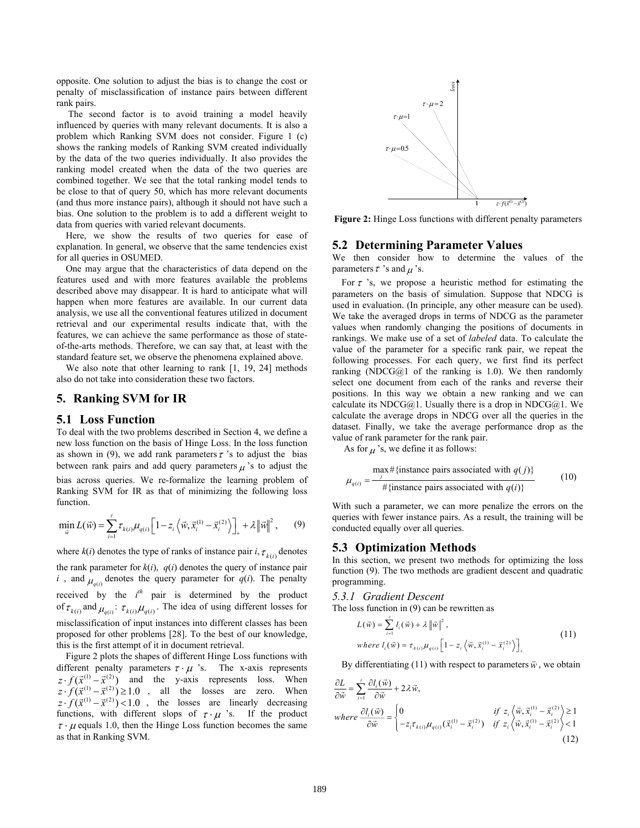opposite. One solution to adjust the bias is to change the cost or penalty of misclassification of instance pairs between different rank pairs.

 The second factor is to avoid training a model heavily influenced by queries with many relevant documents. It is also a problem which Ranking SVM does not consider. Figure 1 (c) shows the ranking models of Ranking SVM created individually by the data of the two queries individually. It also provides the ranking model created when the data of the two queries are combined together. We see that the total ranking model tends to be close to that of query 50, which has more relevant documents (and thus more instance pairs), although it should not have such a bias. One solution to the problem is to add a different weight to data from queries with varied relevant documents.

Here, we show the results of two queries for ease of explanation. In general, we observe that the same tendencies exist for all queries in OSUMED.

One may argue that the characteristics of data depend on the features used and with more features available the problems described above may disappear. It is hard to anticipate what will happen when more features are available. In our current data analysis, we use all the conventional features utilized in document retrieval and our experimental results indicate that, with the features, we can achieve the same performance as those of stateof-the-arts methods. Therefore, we can say that, at least with the standard feature set, we observe the phenomena explained above.

We also note that other learning to rank [1, 19, 24] methods also do not take into consideration these two factors.

# **5. Ranking SVM for IR**

# **5.1 Loss Function**

To deal with the two problems described in Section 4, we define a new loss function on the basis of Hinge Loss. In the loss function as shown in (9), we add rank parameters  $\tau$  's to adjust the bias between rank pairs and add query parameters  $\mu$ 's to adjust the bias across queries. We re-formalize the learning problem of Ranking SVM for IR as that of minimizing the following loss function.

$$
\min_{\vec{w}} L(\vec{w}) = \sum_{i=1}^{\ell} \tau_{k(i)} \mu_{q(i)} \left[ 1 - z_i \left\langle \vec{w}, \vec{x}_i^{(1)} - \vec{x}_i^{(2)} \right\rangle \right]_{+} + \lambda \left\| \vec{w} \right\|^2, \qquad (9)
$$

where  $k(i)$  denotes the type of ranks of instance pair  $i$ ,  $\tau_{k(i)}$  denotes

the rank parameter for  $k(i)$ ,  $q(i)$  denotes the query of instance pair *i*, and  $\mu_{q(i)}$  denotes the query parameter for  $q(i)$ . The penalty received by the *ith* pair is determined by the product of  $\tau_{k(i)}$  and  $\mu_{q(i)}$ :  $\tau_{k(i)}\mu_{q(i)}$ . The idea of using different losses for misclassification of input instances into different classes has been proposed for other problems [28]. To the best of our knowledge, this is the first attempt of it in document retrieval.

Figure 2 plots the shapes of different Hinge Loss functions with different penalty parameters  $\tau \cdot \mu$  's. The x-axis represents  $z \cdot f(\vec{x}^{(1)} - \vec{x}^{(2)})$  and the y-axis represents loss. When  $\overline{x} \cdot f(\overline{x}^{(1)} - \overline{x}^{(2)}) \ge 1.0$ , all the losses are zero. When  $\vec{z} \cdot \vec{f}(\vec{x}^{(1)} - \vec{x}^{(2)}) < 1.0$ , the losses are linearly decreasing functions, with different slops of  $\tau \cdot \mu$  's. If the product  $\tau \cdot \mu$  equals 1.0, then the Hinge Loss function becomes the same as that in Ranking SVM.



**Figure 2:** Hinge Loss functions with different penalty parameters

#### **5.2 Determining Parameter Values**

We then consider how to determine the values of the parameters  $\tau$  's and  $\mu$ 's.

For  $\tau$  's, we propose a heuristic method for estimating the parameters on the basis of simulation. Suppose that NDCG is used in evaluation. (In principle, any other measure can be used). We take the averaged drops in terms of NDCG as the parameter values when randomly changing the positions of documents in rankings. We make use of a set of *labeled* data. To calculate the value of the parameter for a specific rank pair, we repeat the following processes. For each query, we first find its perfect ranking  $(NDCG@1$  of the ranking is 1.0). We then randomly select one document from each of the ranks and reverse their positions. In this way we obtain a new ranking and we can calculate its NDCG@1. Usually there is a drop in NDCG@1. We calculate the average drops in NDCG over all the queries in the dataset. Finally, we take the average performance drop as the value of rank parameter for the rank pair.

As for  $\mu$  's, we define it as follows:

$$
\mu_{q(i)} = \frac{\max \# \{\text{instance pairs associated with } q(j) \}}{\# \{\text{instance pairs associated with } q(i) \}} \tag{10}
$$

With such a parameter, we can more penalize the errors on the queries with fewer instance pairs. As a result, the training will be conducted equally over all queries.

## **5.3 Optimization Methods**

In this section, we present two methods for optimizing the loss function (9). The two methods are gradient descent and quadratic programming.

#### *5.3.1 Gradient Descent*

The loss function in (9) can be rewritten as

$$
L(\vec{w}) = \sum_{i=1}^{\ell} l_i(\vec{w}) + \lambda \left\| \vec{w} \right\|^2,
$$
  
where  $l_i(\vec{w}) = \tau_{k(i)} \mu_{q(i)} \left[ 1 - z_i \left\langle \vec{w}, \vec{x}_i^{(1)} - \vec{x}_i^{(2)} \right\rangle \right]_+$  (11)

By differentiating (11) with respect to parameters  $\vec{w}$ , we obtain

$$
\frac{\partial L}{\partial \vec{w}} = \sum_{i=1}^{\ell} \frac{\partial l_i(\vec{w})}{\partial \vec{w}} + 2\lambda \vec{w},
$$
\nwhere\n
$$
\frac{\partial l_i(\vec{w})}{\partial \vec{w}} =\n\begin{cases}\n0 & \text{if } z_i \langle \vec{w}, \vec{x}_i^{(1)} - \vec{x}_i^{(2)} \rangle \ge 1 \\
-z_i \tau_{k(i)} \mu_{q(i)}(\vec{x}_i^{(1)} - \vec{x}_i^{(2)}) & \text{if } z_i \langle \vec{w}, \vec{x}_i^{(1)} - \vec{x}_i^{(2)} \rangle < 1 \\
12\n\end{cases}
$$
\n(12)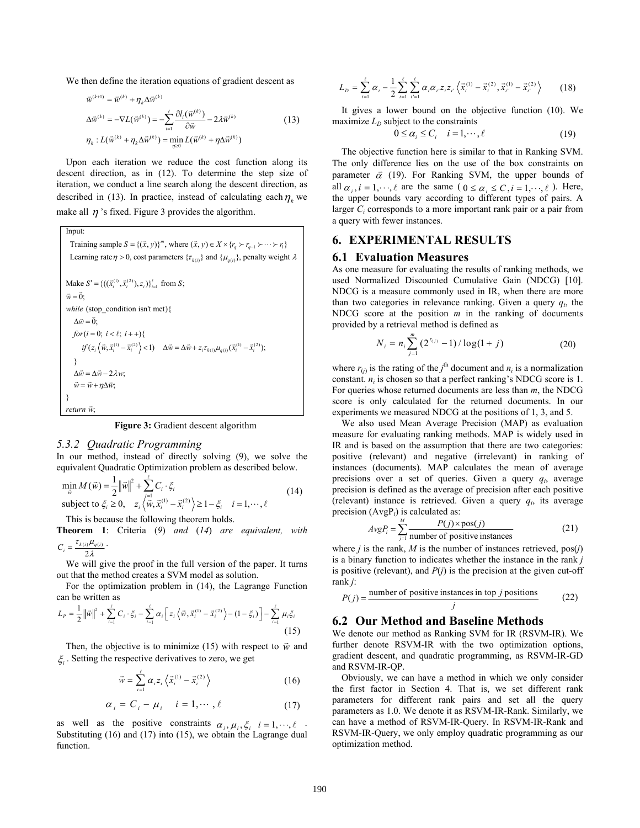We then define the iteration equations of gradient descent as

$$
\overline{w}^{(k+1)} = \overline{w}^{(k)} + \eta_k \Delta \overline{w}^{(k)}
$$
\n
$$
\Delta \overline{w}^{(k)} = -\nabla L(\overline{w}^{(k)}) = -\sum_{i=1}^{\ell} \frac{\partial l_i(\overline{w}^{(k)})}{\partial \overline{w}} - 2\lambda \overline{w}^{(k)}
$$
\n
$$
\eta_k : L(\overline{w}^{(k)} + \eta_k \Delta \overline{w}^{(k)}) = \min_{\eta \ge 0} L(\overline{w}^{(k)} + \eta \Delta \overline{w}^{(k)})
$$
\n(13)

Upon each iteration we reduce the cost function along its descent direction, as in (12). To determine the step size of iteration, we conduct a line search along the descent direction, as described in (13). In practice, instead of calculating each  $\eta_k$  we make all  $\eta$ 's fixed. Figure 3 provides the algorithm.

Input:  
\nTraining sample 
$$
S = \{(\bar{x}, y)\}^m
$$
, where  $(\bar{x}, y) \in X \times \{r_q \succ r_{q-1} \succ \cdots \succ r_1\}$   
\nLearning rate  $\eta > 0$ , cost parameters  $\{r_{k(i)}\}$  and  $\{\mu_{q(i)}\}$ , penalty weight  $\lambda$   
\nMake  $S' = \{((\bar{x}_i^{(1)}, \bar{x}_i^{(2)}), z_i)\}_{i=1}^{\ell}$  from  $S$ ;  
\n $\bar{w} = \bar{0}$ ;  
\nwhile (stop-condition isn't met)  
\n $\Delta \bar{w} = \bar{0}$ ;  
\nfor  $(i = 0; i < \ell; i++)\{$   
\nif  $(z_i \langle \bar{w}, \bar{x}_i^{(1)} - \bar{x}_i^{(2)} \rangle < 1)$   $\Delta \bar{w} = \Delta \bar{w} + z_i r_{k(i)} \mu_{q(i)}(\bar{x}_i^{(1)} - \bar{x}_i^{(2)})$ ;  
\n}  
\n $\Delta \bar{w} = \Delta \bar{w} - 2\lambda w$ ;  
\n $\bar{w} = \bar{w} + \eta \Delta \bar{w}$ ;  
\n $\lambda \bar{w} = \bar{w} + \eta \Delta \bar{w}$ ;  
\n $\lambda \bar{w} = \bar{w} + \eta \Delta \bar{w}$ ;  
\n $\lambda \bar{w} = \bar{w} + \eta \Delta \bar{w}$ 

**Figure 3:** Gradient descent algorithm

## *5.3.2 Quadratic Programming*

In our method, instead of directly solving (9), we solve the equivalent Quadratic Optimization problem as described below.

$$
\min_{\vec{w}} M(\vec{w}) = \frac{1}{2} \|\vec{w}\|^2 + \sum_{i=1}^{\ell} C_i \cdot \xi_i
$$
\nsubject to  $\xi_i \ge 0$ ,  $z_i \langle \vec{w}, \vec{x}_i^{(1)} - \vec{x}_i^{(2)} \rangle \ge 1 - \xi_i$   $i = 1, \dots, \ell$  (14)

This is because the following theorem holds.

**Theorem 1**: Criteria (*9*) *and* (*14*) *are equivalent, with*   $C_i = \frac{\tau_{k(i)}\mu_{q(i)}}{2\lambda}$ .

$$
n = \frac{1}{2\lambda}
$$

We will give the proof in the full version of the paper. It turns out that the method creates a SVM model as solution.

For the optimization problem in (14), the Lagrange Function can be written as

$$
L_{P} = \frac{1}{2} \left\| \vec{w} \right\|^{2} + \sum_{i=1}^{\ell} C_{i} \cdot \xi_{i} - \sum_{i=1}^{\ell} \alpha_{i} \left[ z_{i} \left\langle \vec{w}, \vec{x}_{i}^{(1)} - \vec{x}_{i}^{(2)} \right\rangle - (1 - \xi_{i}) \right] - \sum_{i=1}^{\ell} \mu_{i} \xi_{i}
$$
\n(15)

Then, the objective is to minimize (15) with respect to  $\vec{w}$  and ξ, Setting the respective derivatives to zero, we get

$$
\vec{w} = \sum_{i=1}^{\ell} \alpha_i z_i \left\langle \vec{x}_i^{(1)} - \vec{x}_i^{(2)} \right\rangle \tag{16}
$$

$$
\alpha_i = C_i - \mu_i \quad i = 1, \cdots, \ell \tag{17}
$$

as well as the positive constraints  $\alpha_i, \mu_i, \xi_i$  i = 1, · · ·,  $\ell$ Substituting (16) and (17) into (15), we obtain the Lagrange dual function.

$$
L_D = \sum_{i=1}^{\ell} \alpha_i - \frac{1}{2} \sum_{i=1}^{\ell} \sum_{i'=1}^{\ell} \alpha_i \alpha_i z_i z_{i'} \left\langle \vec{x}_i^{(1)} - \vec{x}_i^{(2)}, \vec{x}_{i'}^{(1)} - \vec{x}_{i'}^{(2)} \right\rangle \qquad (18)
$$

It gives a lower bound on the objective function (10). We maximize  $L<sub>D</sub>$  subject to the constraints

$$
0 \le \alpha_i \le C_i \quad i = 1, \cdots, \ell \tag{19}
$$

The objective function here is similar to that in Ranking SVM. The only difference lies on the use of the box constraints on parameter  $\vec{\alpha}$  (19). For Ranking SVM, the upper bounds of all  $\alpha_i$ ,  $i = 1, \dots, \ell$  are the same ( $0 \le \alpha_i \le C$ ,  $i = 1, \dots, \ell$ ). Here, the upper bounds vary according to different types of pairs. A larger *C<sub>i</sub>* corresponds to a more important rank pair or a pair from a query with fewer instances.

# **6. EXPERIMENTAL RESULTS**

## **6.1 Evaluation Measures**

As one measure for evaluating the results of ranking methods, we used Normalized Discounted Cumulative Gain (NDCG) [10]. NDCG is a measure commonly used in IR, when there are more than two categories in relevance ranking. Given a query  $q_i$ , the NDCG score at the position *m* in the ranking of documents provided by a retrieval method is defined as

$$
N_i = n_i \sum_{j=1}^{m} (2^{r_{(j)}} - 1) / \log(1 + j)
$$
 (20)

where  $r_{(i)}$  is the rating of the *j*<sup>th</sup> document and  $n_i$  is a normalization constant.  $n_i$  is chosen so that a perfect ranking's NDCG score is 1. For queries whose returned documents are less than *m*, the NDCG score is only calculated for the returned documents. In our experiments we measured NDCG at the positions of 1, 3, and 5.

We also used Mean Average Precision (MAP) as evaluation measure for evaluating ranking methods. MAP is widely used in IR and is based on the assumption that there are two categories: positive (relevant) and negative (irrelevant) in ranking of instances (documents). MAP calculates the mean of average precisions over a set of queries. Given a query *qi*, average precision is defined as the average of precision after each positive (relevant) instance is retrieved. Given a query  $q_i$ , its average precision (AvgP*i*) is calculated as:

$$
AvgP_i = \sum_{j=1}^{M} \frac{P(j) \times \text{pos}(j)}{\text{number of positive instances}}
$$
 (21)

where *j* is the rank, *M* is the number of instances retrieved, pos(*j*) is a binary function to indicates whether the instance in the rank *j* is positive (relevant), and  $P(i)$  is the precision at the given cut-off rank *j*:

$$
P(j) = \frac{\text{number of positive instances in top } j \text{ positions}}{j}
$$
 (22)

# **6.2 Our Method and Baseline Methods**

We denote our method as Ranking SVM for IR (RSVM-IR). We further denote RSVM-IR with the two optimization options, gradient descent, and quadratic programming, as RSVM-IR-GD and RSVM-IR-QP.

Obviously, we can have a method in which we only consider the first factor in Section 4. That is, we set different rank parameters for different rank pairs and set all the query parameters as 1.0. We denote it as RSVM-IR-Rank. Similarly, we can have a method of RSVM-IR-Query. In RSVM-IR-Rank and RSVM-IR-Query, we only employ quadratic programming as our optimization method.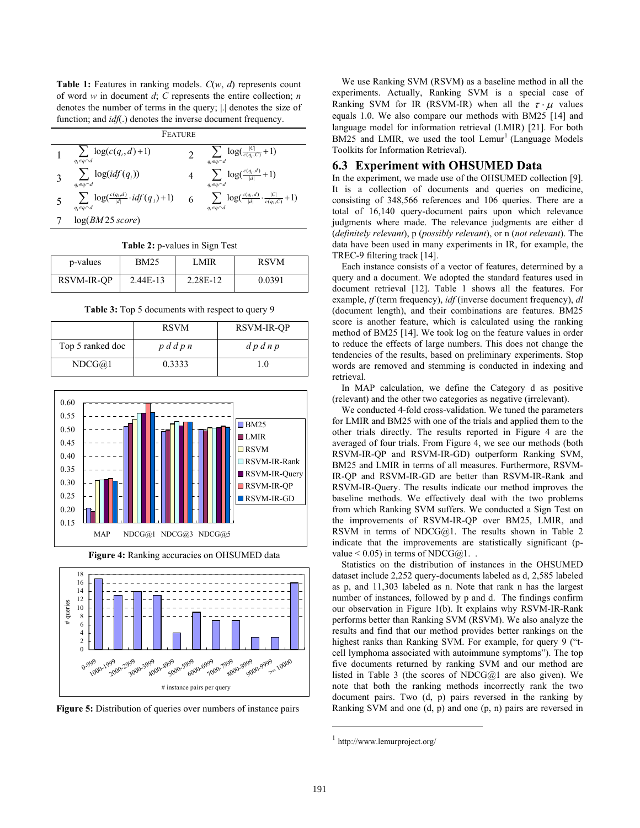**Table 1:** Features in ranking models. *C*(*w*, *d*) represents count of word *w* in document *d*; *C* represents the entire collection; *n* denotes the number of terms in the query; |.| denotes the size of function; and *idf*(.) denotes the inverse document frequency.

| FEATURE |                                                                          |   |                                                                                        |  |  |  |
|---------|--------------------------------------------------------------------------|---|----------------------------------------------------------------------------------------|--|--|--|
|         | $log(c(q_i, d) + 1)$<br>$q_i \in q \cap d$                               |   | $\sum \log(\frac{ C }{c(q_i, C)} + 1)$<br>$q_i \in q \cap d$                           |  |  |  |
|         | $log(idf(q_i))$<br>$q_i \in q \cap d$                                    |   | $\sum \log(\frac{c(q_i,d)}{ d }+1)$<br>$q_i \in q \cap d$                              |  |  |  |
|         | $\sum \log(\frac{c(q_i,d)}{ d } \cdot idf(q_i)+1)$<br>$q_i \in q \cap d$ | 6 | $\sum \log(\frac{c(q_i,d)}{ d } \cdot \frac{ C }{c(q_i,C)} + 1)$<br>$q_i \in q \cap d$ |  |  |  |
|         | log(BM25 score)                                                          |   |                                                                                        |  |  |  |

**Table 2:** p-values in Sign Test

| p-values   | <b>BM25</b> | LMIR     | <b>RSVM</b> |
|------------|-------------|----------|-------------|
| RSVM-IR-OP | 2.44E-13    | 2.28E-12 | 0.0391      |

**Table 3:** Top 5 documents with respect to query 9

|                  | <b>RSVM</b>             | RSVM-IR-OP |
|------------------|-------------------------|------------|
| Top 5 ranked doc | $p \, d \, d \, p \, n$ | d p d n p  |
| NDCG@1           | 0.3333                  | - 0        |



**Figure 4:** Ranking accuracies on OHSUMED data



**Figure 5:** Distribution of queries over numbers of instance pairs

We use Ranking SVM (RSVM) as a baseline method in all the experiments. Actually, Ranking SVM is a special case of Ranking SVM for IR (RSVM-IR) when all the  $\tau \cdot \mu$  values equals 1.0. We also compare our methods with BM25 [14] and language model for information retrieval (LMIR) [21]. For both BM25 and LMIR, we used the tool  $Lemur<sup>1</sup>$  (Language Models Toolkits for Information Retrieval).

# **6.3 Experiment with OHSUMED Data**

In the experiment, we made use of the OHSUMED collection [9]. It is a collection of documents and queries on medicine, consisting of 348,566 references and 106 queries. There are a total of 16,140 query-document pairs upon which relevance judgments where made. The relevance judgments are either d (*definitely relevant*), p (*possibly relevant*), or n (*not relevant*). The data have been used in many experiments in IR, for example, the TREC-9 filtering track [14].

Each instance consists of a vector of features, determined by a query and a document. We adopted the standard features used in document retrieval [12]. Table 1 shows all the features. For example, *tf* (term frequency), *idf* (inverse document frequency), *dl* (document length), and their combinations are features. BM25 score is another feature, which is calculated using the ranking method of BM25 [14]. We took log on the feature values in order to reduce the effects of large numbers. This does not change the tendencies of the results, based on preliminary experiments. Stop words are removed and stemming is conducted in indexing and retrieval.

In MAP calculation, we define the Category d as positive (relevant) and the other two categories as negative (irrelevant).

We conducted 4-fold cross-validation. We tuned the parameters for LMIR and BM25 with one of the trials and applied them to the other trials directly. The results reported in Figure 4 are the averaged of four trials. From Figure 4, we see our methods (both RSVM-IR-QP and RSVM-IR-GD) outperform Ranking SVM, BM25 and LMIR in terms of all measures. Furthermore, RSVM-IR-QP and RSVM-IR-GD are better than RSVM-IR-Rank and RSVM-IR-Query. The results indicate our method improves the baseline methods. We effectively deal with the two problems from which Ranking SVM suffers. We conducted a Sign Test on the improvements of RSVM-IR-QP over BM25, LMIR, and RSVM in terms of NDCG $@1$ . The results shown in Table 2 indicate that the improvements are statistically significant (pvalue  $< 0.05$ ) in terms of NDCG $@1$ .

Statistics on the distribution of instances in the OHSUMED dataset include 2,252 query-documents labeled as d, 2,585 labeled as p, and 11,303 labeled as n. Note that rank n has the largest number of instances, followed by p and d. The findings confirm our observation in Figure 1(b). It explains why RSVM-IR-Rank performs better than Ranking SVM (RSVM). We also analyze the results and find that our method provides better rankings on the highest ranks than Ranking SVM. For example, for query 9 ("tcell lymphoma associated with autoimmune symptoms"). The top five documents returned by ranking SVM and our method are listed in Table 3 (the scores of NDCG $@1$  are also given). We note that both the ranking methods incorrectly rank the two document pairs. Two (d, p) pairs reversed in the ranking by Ranking SVM and one (d, p) and one (p, n) pairs are reversed in

 $\overline{a}$ 

<sup>1</sup> http://www.lemurproject.org/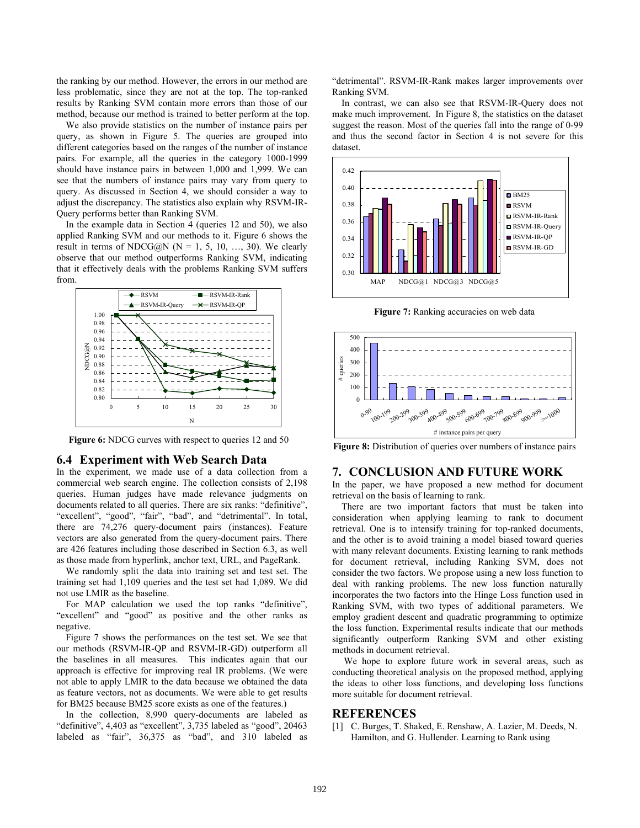the ranking by our method. However, the errors in our method are less problematic, since they are not at the top. The top-ranked results by Ranking SVM contain more errors than those of our method, because our method is trained to better perform at the top.

We also provide statistics on the number of instance pairs per query, as shown in Figure 5. The queries are grouped into different categories based on the ranges of the number of instance pairs. For example, all the queries in the category 1000-1999 should have instance pairs in between 1,000 and 1,999. We can see that the numbers of instance pairs may vary from query to query. As discussed in Section 4, we should consider a way to adjust the discrepancy. The statistics also explain why RSVM-IR-Query performs better than Ranking SVM.

In the example data in Section 4 (queries 12 and 50), we also applied Ranking SVM and our methods to it. Figure 6 shows the result in terms of NDCG@N ( $N = 1, 5, 10, \ldots, 30$ ). We clearly observe that our method outperforms Ranking SVM, indicating that it effectively deals with the problems Ranking SVM suffers from.



**Figure 6:** NDCG curves with respect to queries 12 and 50

## **6.4 Experiment with Web Search Data**

In the experiment, we made use of a data collection from a commercial web search engine. The collection consists of 2,198 queries. Human judges have made relevance judgments on documents related to all queries. There are six ranks: "definitive", "excellent", "good", "fair", "bad", and "detrimental". In total, there are 74,276 query-document pairs (instances). Feature vectors are also generated from the query-document pairs. There are 426 features including those described in Section 6.3, as well as those made from hyperlink, anchor text, URL, and PageRank.

We randomly split the data into training set and test set. The training set had 1,109 queries and the test set had 1,089. We did not use LMIR as the baseline.

For MAP calculation we used the top ranks "definitive", "excellent" and "good" as positive and the other ranks as negative.

Figure 7 shows the performances on the test set. We see that our methods (RSVM-IR-QP and RSVM-IR-GD) outperform all the baselines in all measures. This indicates again that our approach is effective for improving real IR problems. (We were not able to apply LMIR to the data because we obtained the data as feature vectors, not as documents. We were able to get results for BM25 because BM25 score exists as one of the features.)

In the collection, 8,990 query-documents are labeled as "definitive", 4,403 as "excellent", 3,735 labeled as "good", 20463 labeled as "fair", 36,375 as "bad", and 310 labeled as "detrimental". RSVM-IR-Rank makes larger improvements over Ranking SVM.

In contrast, we can also see that RSVM-IR-Query does not make much improvement. In Figure 8, the statistics on the dataset suggest the reason. Most of the queries fall into the range of 0-99 and thus the second factor in Section 4 is not severe for this dataset.



Figure 7: Ranking accuracies on web data



**Figure 8:** Distribution of queries over numbers of instance pairs

# **7. CONCLUSION AND FUTURE WORK**

In the paper, we have proposed a new method for document retrieval on the basis of learning to rank.

There are two important factors that must be taken into consideration when applying learning to rank to document retrieval. One is to intensify training for top-ranked documents, and the other is to avoid training a model biased toward queries with many relevant documents. Existing learning to rank methods for document retrieval, including Ranking SVM, does not consider the two factors. We propose using a new loss function to deal with ranking problems. The new loss function naturally incorporates the two factors into the Hinge Loss function used in Ranking SVM, with two types of additional parameters. We employ gradient descent and quadratic programming to optimize the loss function. Experimental results indicate that our methods significantly outperform Ranking SVM and other existing methods in document retrieval.

 We hope to explore future work in several areas, such as conducting theoretical analysis on the proposed method, applying the ideas to other loss functions, and developing loss functions more suitable for document retrieval.

## **REFERENCES**

[1] C. Burges, T. Shaked, E. Renshaw, A. Lazier, M. Deeds, N. Hamilton, and G. Hullender. Learning to Rank using